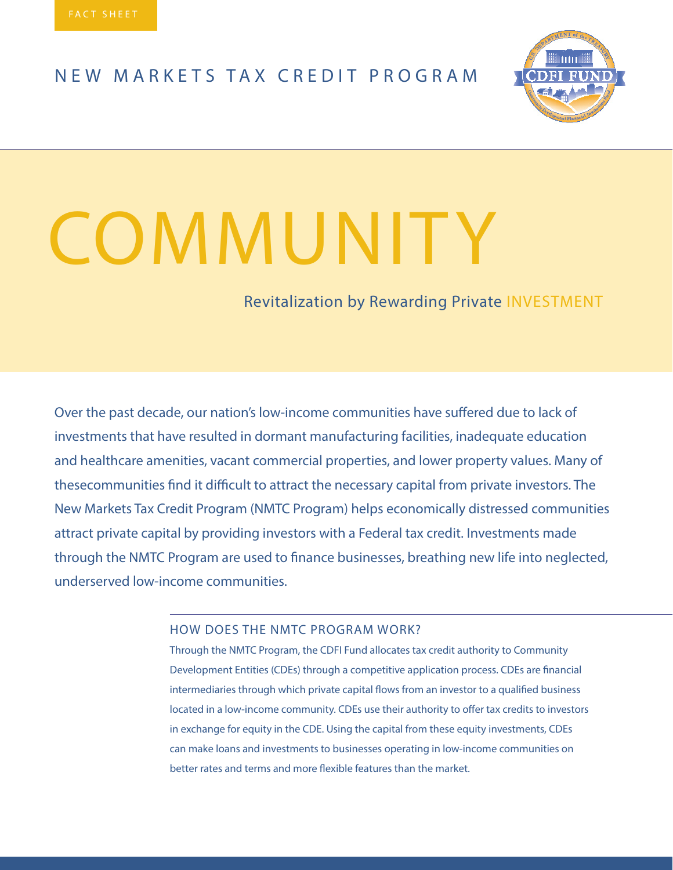### NEW MARKETS TAX CREDIT PROGRAM



# **COMMUNITY**

Revitalization by Rewarding Private INVESTMENT

Over the past decade, our nation's low-income communities have suffered due to lack of investments that have resulted in dormant manufacturing facilities, inadequate education and healthcare amenities, vacant commercial properties, and lower property values. Many of thesecommunities find it difficult to attract the necessary capital from private investors. The New Markets Tax Credit Program (NMTC Program) helps economically distressed communities attract private capital by providing investors with a Federal tax credit. Investments made through the NMTC Program are used to finance businesses, breathing new life into neglected, underserved low-income communities.

#### HOW DOES THE NMTC PROGRAM WORK?

Through the NMTC Program, the CDFI Fund allocates tax credit authority to Community Development Entities (CDEs) through a competitive application process. CDEs are financial intermediaries through which private capital flows from an investor to a qualified business located in a low-income community. CDEs use their authority to offer tax credits to investors in exchange for equity in the CDE. Using the capital from these equity investments, CDEs can make loans and investments to businesses operating in low-income communities on better rates and terms and more flexible features than the market.